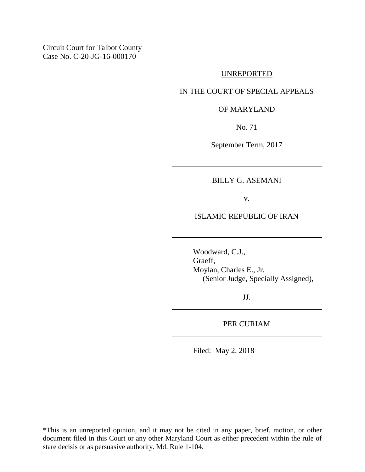Circuit Court for Talbot County Case No. C-20-JG-16-000170

## UNREPORTED

## IN THE COURT OF SPECIAL APPEALS

## OF MARYLAND

No. 71

September Term, 2017

## BILLY G. ASEMANI

v.

ISLAMIC REPUBLIC OF IRAN

Woodward, C.J., Graeff, Moylan, Charles E., Jr. (Senior Judge, Specially Assigned),

JJ.

PER CURIAM

Filed: May 2, 2018

\*This is an unreported opinion, and it may not be cited in any paper, brief, motion, or other document filed in this Court or any other Maryland Court as either precedent within the rule of stare decisis or as persuasive authority. Md. Rule 1-104.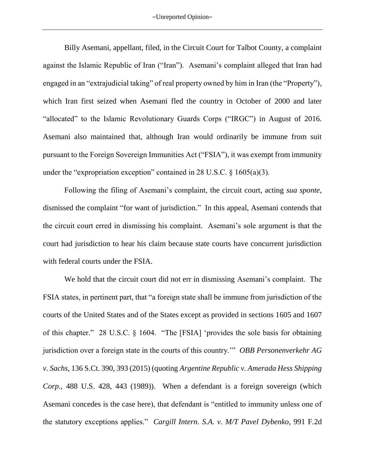Billy Asemani, appellant, filed, in the Circuit Court for Talbot County, a complaint against the Islamic Republic of Iran ("Iran"). Asemani's complaint alleged that Iran had engaged in an "extrajudicial taking" of real property owned by him in Iran (the "Property"), which Iran first seized when Asemani fled the country in October of 2000 and later "allocated" to the Islamic Revolutionary Guards Corps ("IRGC") in August of 2016. Asemani also maintained that, although Iran would ordinarily be immune from suit pursuant to the Foreign Sovereign Immunities Act ("FSIA"), it was exempt from immunity under the "expropriation exception" contained in 28 U.S.C.  $\S$  1605(a)(3).

Following the filing of Asemani's complaint, the circuit court, acting *sua sponte*, dismissed the complaint "for want of jurisdiction." In this appeal, Asemani contends that the circuit court erred in dismissing his complaint. Asemani's sole argument is that the court had jurisdiction to hear his claim because state courts have concurrent jurisdiction with federal courts under the FSIA.

We hold that the circuit court did not err in dismissing Asemani's complaint. The FSIA states, in pertinent part, that "a foreign state shall be immune from jurisdiction of the courts of the United States and of the States except as provided in sections 1605 and 1607 of this chapter." 28 U.S.C. § 1604. "The [FSIA] 'provides the sole basis for obtaining jurisdiction over a foreign state in the courts of this country.'" *OBB Personenverkehr AG v. Sachs*, 136 S.Ct. 390, 393 (2015) (quoting *Argentine Republic v. Amerada Hess Shipping Corp.*, 488 U.S. 428, 443 (1989)). When a defendant is a foreign sovereign (which Asemani concedes is the case here), that defendant is "entitled to immunity unless one of the statutory exceptions applies." *Cargill Intern. S.A. v. M/T Pavel Dybenko*, 991 F.2d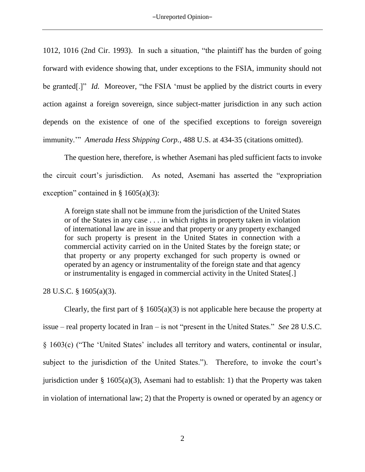1012, 1016 (2nd Cir. 1993). In such a situation, "the plaintiff has the burden of going forward with evidence showing that, under exceptions to the FSIA, immunity should not be granted<sup>[*.*]" *Id.* Moreover, "the FSIA 'must be applied by the district courts in every</sup> action against a foreign sovereign, since subject-matter jurisdiction in any such action depends on the existence of one of the specified exceptions to foreign sovereign immunity.'" *Amerada Hess Shipping Corp.*, 488 U.S. at 434-35 (citations omitted).

The question here, therefore, is whether Asemani has pled sufficient facts to invoke the circuit court's jurisdiction. As noted, Asemani has asserted the "expropriation exception" contained in  $\S$  1605(a)(3):

A foreign state shall not be immune from the jurisdiction of the United States or of the States in any case . . . in which rights in property taken in violation of international law are in issue and that property or any property exchanged for such property is present in the United States in connection with a commercial activity carried on in the United States by the foreign state; or that property or any property exchanged for such property is owned or operated by an agency or instrumentality of the foreign state and that agency or instrumentality is engaged in commercial activity in the United States[.]

28 U.S.C. § 1605(a)(3).

Clearly, the first part of  $\S$  1605(a)(3) is not applicable here because the property at issue – real property located in Iran – is not "present in the United States." *See* 28 U.S.C. § 1603(c) ("The 'United States' includes all territory and waters, continental or insular, subject to the jurisdiction of the United States."). Therefore, to invoke the court's jurisdiction under  $\S$  1605(a)(3), Asemani had to establish: 1) that the Property was taken in violation of international law; 2) that the Property is owned or operated by an agency or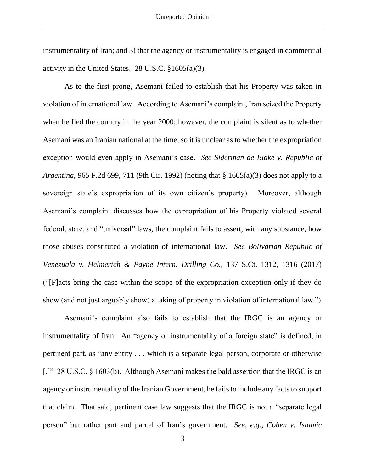instrumentality of Iran; and 3) that the agency or instrumentality is engaged in commercial activity in the United States. 28 U.S.C. §1605(a)(3).

As to the first prong, Asemani failed to establish that his Property was taken in violation of international law. According to Asemani's complaint, Iran seized the Property when he fled the country in the year 2000; however, the complaint is silent as to whether Asemani was an Iranian national at the time, so it is unclear as to whether the expropriation exception would even apply in Asemani's case. *See Siderman de Blake v. Republic of Argentina*, 965 F.2d 699, 711 (9th Cir. 1992) (noting that § 1605(a)(3) does not apply to a sovereign state's expropriation of its own citizen's property). Moreover, although Asemani's complaint discusses how the expropriation of his Property violated several federal, state, and "universal" laws, the complaint fails to assert, with any substance, how those abuses constituted a violation of international law. *See Bolivarian Republic of Venezuala v. Helmerich & Payne Intern. Drilling Co.*, 137 S.Ct. 1312, 1316 (2017) ("[F]acts bring the case within the scope of the expropriation exception only if they do show (and not just arguably show) a taking of property in violation of international law.")

Asemani's complaint also fails to establish that the IRGC is an agency or instrumentality of Iran. An "agency or instrumentality of a foreign state" is defined, in pertinent part, as "any entity . . . which is a separate legal person, corporate or otherwise [.]" 28 U.S.C. § 1603(b). Although Asemani makes the bald assertion that the IRGC is an agency or instrumentality of the Iranian Government, he fails to include any facts to support that claim. That said, pertinent case law suggests that the IRGC is not a "separate legal person" but rather part and parcel of Iran's government. *See, e.g., Cohen v. Islamic*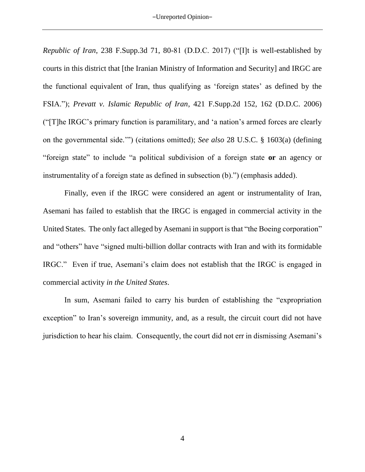*Republic of Iran*, 238 F.Supp.3d 71, 80-81 (D.D.C. 2017) ("[I]t is well-established by courts in this district that [the Iranian Ministry of Information and Security] and IRGC are the functional equivalent of Iran, thus qualifying as 'foreign states' as defined by the FSIA."); *Prevatt v. Islamic Republic of Iran*, 421 F.Supp.2d 152, 162 (D.D.C. 2006) ("[T]he IRGC's primary function is paramilitary, and 'a nation's armed forces are clearly on the governmental side.'") (citations omitted); *See also* 28 U.S.C. § 1603(a) (defining "foreign state" to include "a political subdivision of a foreign state **or** an agency or instrumentality of a foreign state as defined in subsection (b).") (emphasis added).

Finally, even if the IRGC were considered an agent or instrumentality of Iran, Asemani has failed to establish that the IRGC is engaged in commercial activity in the United States. The only fact alleged by Asemani in support is that "the Boeing corporation" and "others" have "signed multi-billion dollar contracts with Iran and with its formidable IRGC." Even if true, Asemani's claim does not establish that the IRGC is engaged in commercial activity *in the United States*.

In sum, Asemani failed to carry his burden of establishing the "expropriation exception" to Iran's sovereign immunity, and, as a result, the circuit court did not have jurisdiction to hear his claim. Consequently, the court did not err in dismissing Asemani's